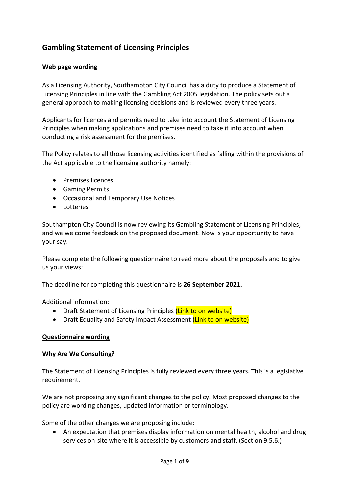# **Gambling Statement of Licensing Principles**

### **Web page wording**

As a Licensing Authority, Southampton City Council has a duty to produce a Statement of Licensing Principles in line with the Gambling Act 2005 legislation. The policy sets out a general approach to making licensing decisions and is reviewed every three years.

Applicants for licences and permits need to take into account the Statement of Licensing Principles when making applications and premises need to take it into account when conducting a risk assessment for the premises.

The Policy relates to all those licensing activities identified as falling within the provisions of the Act applicable to the licensing authority namely:

- Premises licences
- Gaming Permits
- Occasional and Temporary Use Notices
- Lotteries

Southampton City Council is now reviewing its Gambling Statement of Licensing Principles, and we welcome feedback on the proposed document. Now is your opportunity to have your say.

Please complete the following questionnaire to read more about the proposals and to give us your views:

The deadline for completing this questionnaire is **26 September 2021.**

Additional information:

- Draft Statement of Licensing Principles (Link to on website)
- Draft Equality and Safety Impact Assessment (Link to on website)

#### **Questionnaire wording**

#### **Why Are We Consulting?**

The Statement of Licensing Principles is fully reviewed every three years. This is a legislative requirement.

We are not proposing any significant changes to the policy. Most proposed changes to the policy are wording changes, updated information or terminology.

Some of the other changes we are proposing include:

 An expectation that premises display information on mental health, alcohol and drug services on-site where it is accessible by customers and staff. (Section 9.5.6.)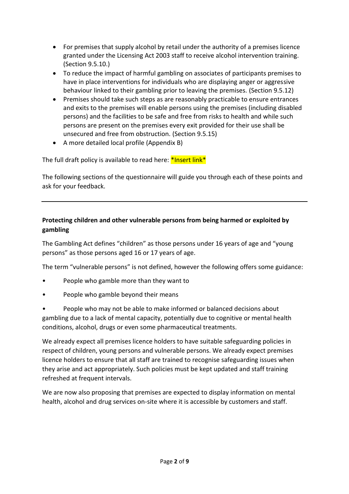- For premises that supply alcohol by retail under the authority of a premises licence granted under the Licensing Act 2003 staff to receive alcohol intervention training. (Section 9.5.10.)
- To reduce the impact of harmful gambling on associates of participants premises to have in place interventions for individuals who are displaying anger or aggressive behaviour linked to their gambling prior to leaving the premises. (Section 9.5.12)
- Premises should take such steps as are reasonably practicable to ensure entrances and exits to the premises will enable persons using the premises (including disabled persons) and the facilities to be safe and free from risks to health and while such persons are present on the premises every exit provided for their use shall be unsecured and free from obstruction. (Section 9.5.15)
- A more detailed local profile (Appendix B)

The full draft policy is available to read here: \*Insert link\*

The following sections of the questionnaire will guide you through each of these points and ask for your feedback.

# **Protecting children and other vulnerable persons from being harmed or exploited by gambling**

The Gambling Act defines "children" as those persons under 16 years of age and "young persons" as those persons aged 16 or 17 years of age.

The term "vulnerable persons" is not defined, however the following offers some guidance:

- People who gamble more than they want to
- People who gamble beyond their means
- People who may not be able to make informed or balanced decisions about gambling due to a lack of mental capacity, potentially due to cognitive or mental health conditions, alcohol, drugs or even some pharmaceutical treatments.

We already expect all premises licence holders to have suitable safeguarding policies in respect of children, young persons and vulnerable persons. We already expect premises licence holders to ensure that all staff are trained to recognise safeguarding issues when they arise and act appropriately. Such policies must be kept updated and staff training refreshed at frequent intervals.

We are now also proposing that premises are expected to display information on mental health, alcohol and drug services on-site where it is accessible by customers and staff.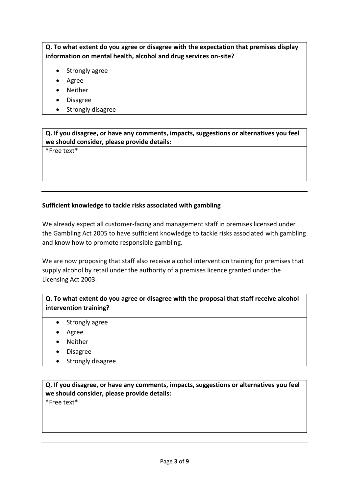# **Q. To what extent do you agree or disagree with the expectation that premises display information on mental health, alcohol and drug services on-site?**

- Strongly agree
- Agree
- Neither
- Disagree
- Strongly disagree

**Q. If you disagree, or have any comments, impacts, suggestions or alternatives you feel we should consider, please provide details:**

\*Free text\*

### **Sufficient knowledge to tackle risks associated with gambling**

We already expect all customer-facing and management staff in premises licensed under the Gambling Act 2005 to have sufficient knowledge to tackle risks associated with gambling and know how to promote responsible gambling.

We are now proposing that staff also receive alcohol intervention training for premises that supply alcohol by retail under the authority of a premises licence granted under the Licensing Act 2003.

**Q. To what extent do you agree or disagree with the proposal that staff receive alcohol intervention training?**

- Strongly agree
- Agree
- Neither
- Disagree
- Strongly disagree

**Q. If you disagree, or have any comments, impacts, suggestions or alternatives you feel we should consider, please provide details:**

\*Free text\*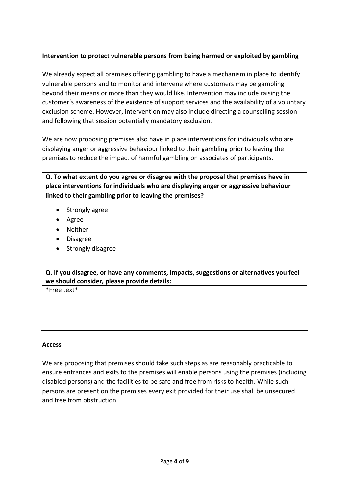# **Intervention to protect vulnerable persons from being harmed or exploited by gambling**

We already expect all premises offering gambling to have a mechanism in place to identify vulnerable persons and to monitor and intervene where customers may be gambling beyond their means or more than they would like. Intervention may include raising the customer's awareness of the existence of support services and the availability of a voluntary exclusion scheme. However, intervention may also include directing a counselling session and following that session potentially mandatory exclusion.

We are now proposing premises also have in place interventions for individuals who are displaying anger or aggressive behaviour linked to their gambling prior to leaving the premises to reduce the impact of harmful gambling on associates of participants.

**Q. To what extent do you agree or disagree with the proposal that premises have in place interventions for individuals who are displaying anger or aggressive behaviour linked to their gambling prior to leaving the premises?** 

- Strongly agree
- Agree
- Neither
- Disagree
- Strongly disagree

**Q. If you disagree, or have any comments, impacts, suggestions or alternatives you feel we should consider, please provide details:**

\*Free text\*

#### **Access**

We are proposing that premises should take such steps as are reasonably practicable to ensure entrances and exits to the premises will enable persons using the premises (including disabled persons) and the facilities to be safe and free from risks to health. While such persons are present on the premises every exit provided for their use shall be unsecured and free from obstruction.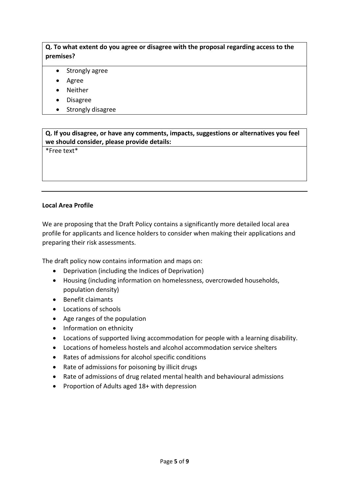# **Q. To what extent do you agree or disagree with the proposal regarding access to the premises?**

- Strongly agree
- Agree
- Neither
- Disagree
- Strongly disagree

**Q. If you disagree, or have any comments, impacts, suggestions or alternatives you feel we should consider, please provide details:**

\*Free text\*

### **Local Area Profile**

We are proposing that the Draft Policy contains a significantly more detailed local area profile for applicants and licence holders to consider when making their applications and preparing their risk assessments.

The draft policy now contains information and maps on:

- Deprivation (including the Indices of Deprivation)
- Housing (including information on homelessness, overcrowded households, population density)
- Benefit claimants
- Locations of schools
- Age ranges of the population
- Information on ethnicity
- Locations of supported living accommodation for people with a learning disability.
- Locations of homeless hostels and alcohol accommodation service shelters
- Rates of admissions for alcohol specific conditions
- Rate of admissions for poisoning by illicit drugs
- Rate of admissions of drug related mental health and behavioural admissions
- Proportion of Adults aged 18+ with depression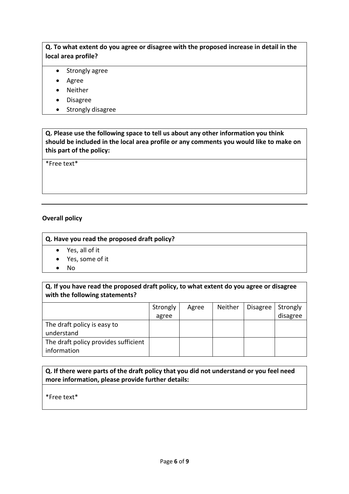# **Q. To what extent do you agree or disagree with the proposed increase in detail in the local area profile?**

- Strongly agree
- Agree
- Neither
- Disagree
- Strongly disagree

**Q. Please use the following space to tell us about any other information you think should be included in the local area profile or any comments you would like to make on this part of the policy:**

\*Free text\*

### **Overall policy**

### **Q. Have you read the proposed draft policy?**

- Yes, all of it
- Yes, some of it
- $\bullet$  No

# **Q. If you have read the proposed draft policy, to what extent do you agree or disagree with the following statements?**

|                                      | Strongly | Agree | Neither | <b>Disagree</b> | Strongly |
|--------------------------------------|----------|-------|---------|-----------------|----------|
|                                      | agree    |       |         |                 | disagree |
| The draft policy is easy to          |          |       |         |                 |          |
| understand                           |          |       |         |                 |          |
| The draft policy provides sufficient |          |       |         |                 |          |
| information                          |          |       |         |                 |          |

# **Q. If there were parts of the draft policy that you did not understand or you feel need more information, please provide further details:**

\*Free text\*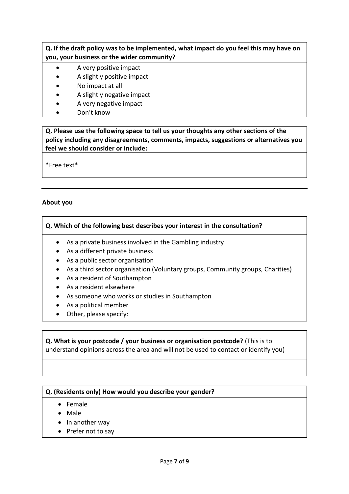### **Q. If the draft policy was to be implemented, what impact do you feel this may have on you, your business or the wider community?**

- A very positive impact
- A slightly positive impact
- No impact at all
- A slightly negative impact
- A very negative impact
- Don't know

**Q. Please use the following space to tell us your thoughts any other sections of the policy including any disagreements, comments, impacts, suggestions or alternatives you feel we should consider or include:**

\*Free text\*

### **About you**

### **Q. Which of the following best describes your interest in the consultation?**

- As a private business involved in the Gambling industry
- As a different private business
- As a public sector organisation
- As a third sector organisation (Voluntary groups, Community groups, Charities)
- As a resident of Southampton
- As a resident elsewhere
- As someone who works or studies in Southampton
- As a political member
- Other, please specify:

### **Q. What is your postcode / your business or organisation postcode?** (This is to understand opinions across the area and will not be used to contact or identify you)

#### **Q. (Residents only) How would you describe your gender?**

- Female
- Male
- In another way
- Prefer not to say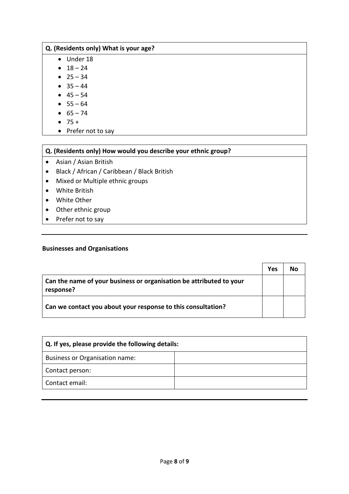### **Q. (Residents only) What is your age?**

- Under 18
- $18 24$
- $25 34$
- $35 44$
- $-45 54$
- $55 64$
- $65 74$
- $75 +$
- Prefer not to say

# **Q. (Residents only) How would you describe your ethnic group?**

- Asian / Asian British
- Black / African / Caribbean / Black British
- Mixed or Multiple ethnic groups
- White British
- White Other
- Other ethnic group
- Prefer not to say

### **Businesses and Organisations**

|                                                                                  | Yes | Nο |
|----------------------------------------------------------------------------------|-----|----|
| Can the name of your business or organisation be attributed to your<br>response? |     |    |
| Can we contact you about your response to this consultation?                     |     |    |

| Q. If yes, please provide the following details: |  |  |  |  |
|--------------------------------------------------|--|--|--|--|
| Business or Organisation name:                   |  |  |  |  |
| Contact person:                                  |  |  |  |  |
| Contact email:                                   |  |  |  |  |